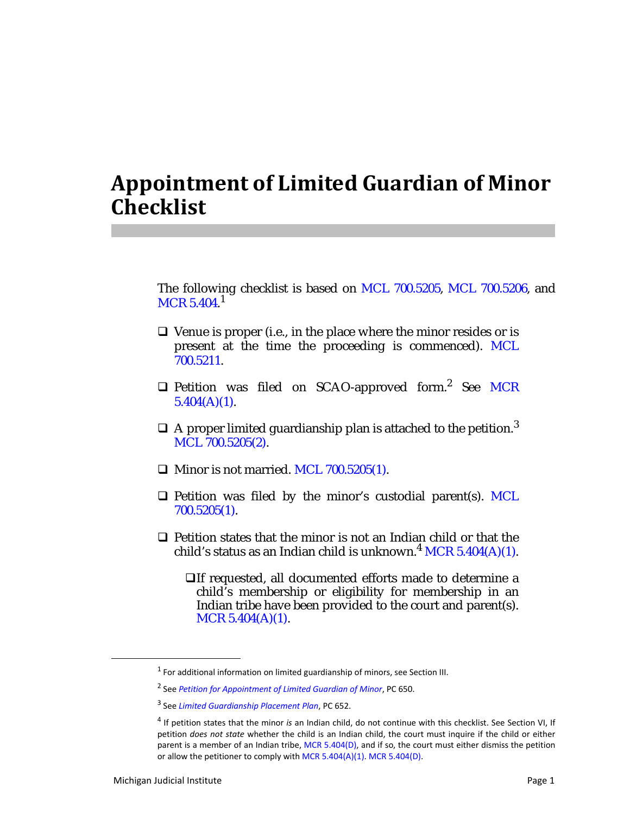## **Appointment of Limited Guardian of Minor Checklist**

The following checklist is based on MCL 700.5205, MCL 700.5206, and  $\rm MCR$  5.404. $^1$ 

- $\Box$  Venue is proper (i.e., in the place where the minor resides or is present at the time the proceeding is commenced). MCL 700.5211.
- $\Box$  Petition was filed on SCAO-approved form.<sup>2</sup> See MCR  $5.404(A)(1)$ .
- $\Box$  A proper limited guardianship plan is attached to the petition.<sup>3</sup> MCL 700.5205(2).
- $\Box$  Minor is not married. MCL 700.5205(1).
- $\Box$  Petition was filed by the minor's custodial parent(s). MCL 700.5205(1).
- $\Box$  Petition states that the minor is not an Indian child or that the child's status as an Indian child is unknown.<sup>4</sup> MCR 5.404(A)(1).
	- If requested, all documented efforts made to determine a child's membership or eligibility for membership in an Indian tribe have been provided to the court and parent(s). MCR 5.404(A)(1).

<sup>&</sup>lt;sup>1</sup> For additional information on limited guardianship of minors, see Section III.

<sup>2</sup> See *Petition for Appointment of Limited Guardian of Minor*, PC 650.

<sup>3</sup> See *Limited Guardianship Placement Plan*, PC 652.

<sup>4</sup> If petition states that the minor *is* an Indian child, do not continue with this checklist. See Section VI, If petition *does not state* whether the child is an Indian child, the court must inquire if the child or either parent is a member of an Indian tribe, MCR 5.404(D), and if so, the court must either dismiss the petition or allow the petitioner to comply with MCR 5.404(A)(1). MCR 5.404(D).